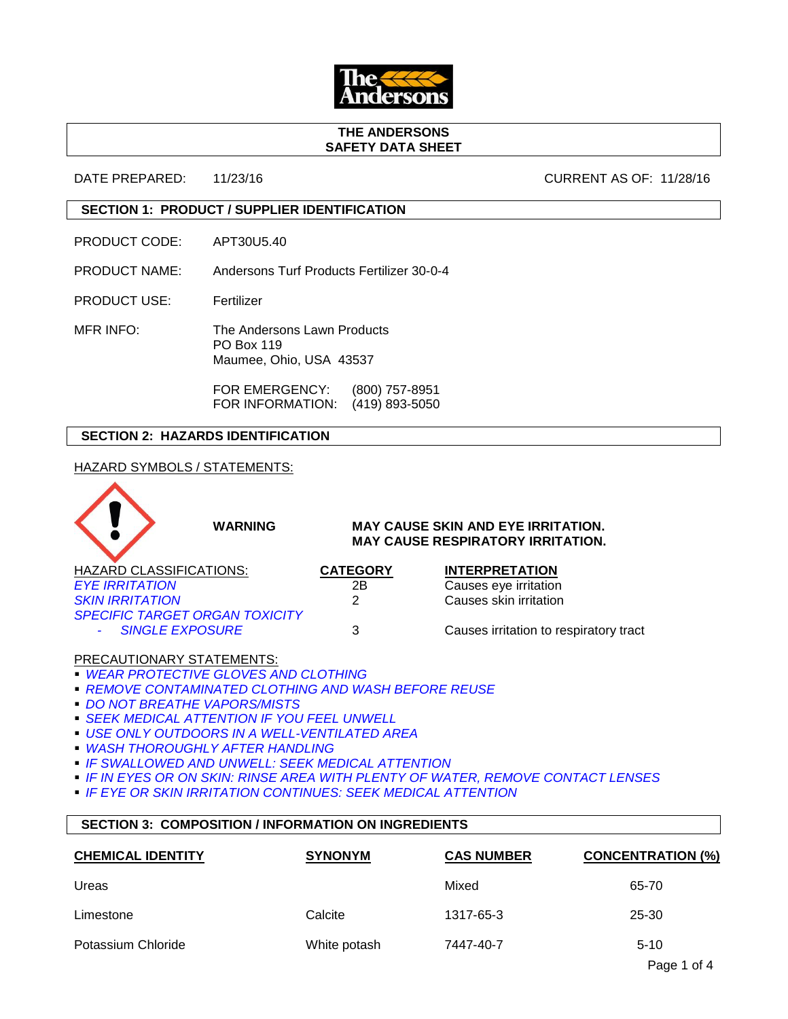

### **THE ANDERSONS SAFETY DATA SHEET**

### DATE PREPARED: 11/23/16 CURRENT AS OF: 11/28/16

# **SECTION 1: PRODUCT / SUPPLIER IDENTIFICATION**

- PRODUCT CODE: APT30U5.40
- PRODUCT NAME: Andersons Turf Products Fertilizer 30-0-4
- PRODUCT USE: Fertilizer
- MFR INFO: The Andersons Lawn Products PO Box 119 Maumee, Ohio, USA 43537

FOR EMERGENCY: (800) 757-8951 FOR INFORMATION: (419) 893-5050

## **SECTION 2: HAZARDS IDENTIFICATION**

# HAZARD SYMBOLS / STATEMENTS:



PRECAUTIONARY STATEMENTS:

- *WEAR PROTECTIVE GLOVES AND CLOTHING*
- *REMOVE CONTAMINATED CLOTHING AND WASH BEFORE REUSE*
- *DO NOT BREATHE VAPORS/MISTS*
- *SEEK MEDICAL ATTENTION IF YOU FEEL UNWELL*
- *USE ONLY OUTDOORS IN A WELL-VENTILATED AREA*
- *WASH THOROUGHLY AFTER HANDLING*
- *IF SWALLOWED AND UNWELL: SEEK MEDICAL ATTENTION*
- *IF IN EYES OR ON SKIN: RINSE AREA WITH PLENTY OF WATER, REMOVE CONTACT LENSES*
- *IF EYE OR SKIN IRRITATION CONTINUES: SEEK MEDICAL ATTENTION*

## **SECTION 3: COMPOSITION / INFORMATION ON INGREDIENTS**

| <b>CHEMICAL IDENTITY</b> | <b>SYNONYM</b> | <b>CAS NUMBER</b> | <b>CONCENTRATION (%)</b> |
|--------------------------|----------------|-------------------|--------------------------|
| Ureas                    |                | Mixed             | 65-70                    |
| Limestone                | Calcite        | 1317-65-3         | $25 - 30$                |
| Potassium Chloride       | White potash   | 7447-40-7         | $5-10$                   |
|                          |                |                   | Page 1 of 4              |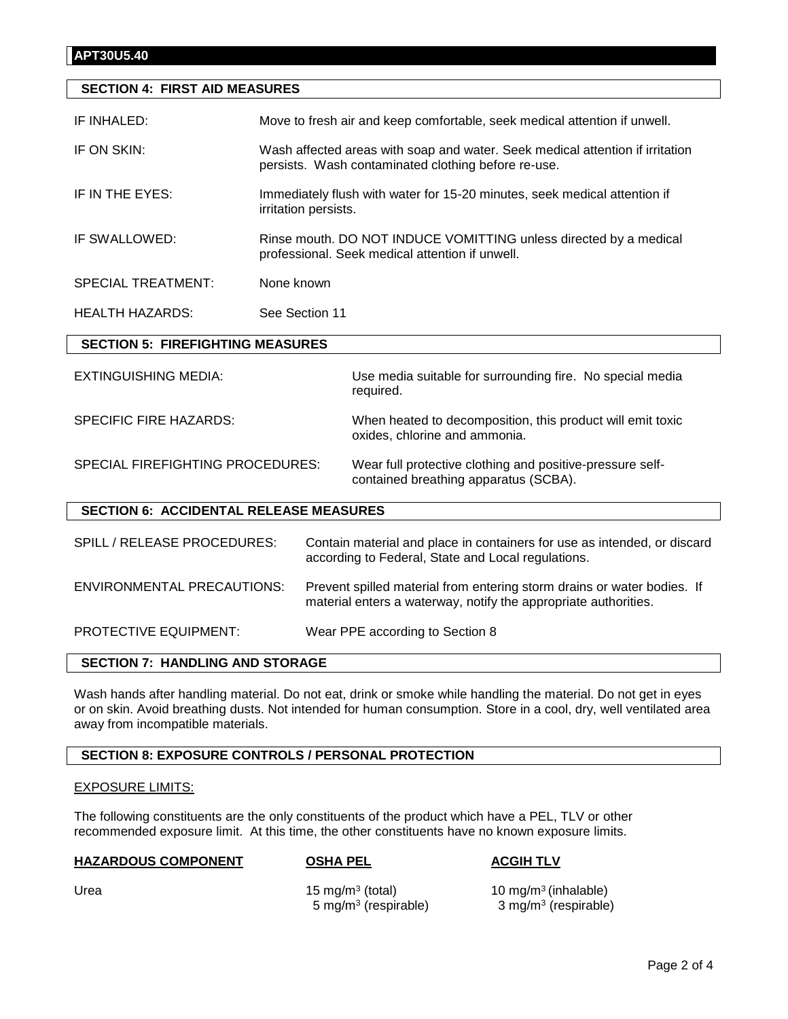# **SECTION 4: FIRST AID MEASURES**

| IF INHALED:                             |                                               | Move to fresh air and keep comfortable, seek medical attention if unwell.                                                                  |                                                                                                                                |  |  |  |  |
|-----------------------------------------|-----------------------------------------------|--------------------------------------------------------------------------------------------------------------------------------------------|--------------------------------------------------------------------------------------------------------------------------------|--|--|--|--|
| IF ON SKIN:                             |                                               | Wash affected areas with soap and water. Seek medical attention if irritation<br>persists. Wash contaminated clothing before re-use.       |                                                                                                                                |  |  |  |  |
| IF IN THE EYES:                         |                                               | Immediately flush with water for 15-20 minutes, seek medical attention if<br>irritation persists.                                          |                                                                                                                                |  |  |  |  |
| IF SWALLOWED:                           |                                               | Rinse mouth. DO NOT INDUCE VOMITTING unless directed by a medical<br>professional. Seek medical attention if unwell.                       |                                                                                                                                |  |  |  |  |
| <b>SPECIAL TREATMENT:</b>               |                                               | None known                                                                                                                                 |                                                                                                                                |  |  |  |  |
| <b>HEALTH HAZARDS:</b>                  | See Section 11                                |                                                                                                                                            |                                                                                                                                |  |  |  |  |
| <b>SECTION 5: FIREFIGHTING MEASURES</b> |                                               |                                                                                                                                            |                                                                                                                                |  |  |  |  |
| <b>EXTINGUISHING MEDIA:</b>             |                                               |                                                                                                                                            | Use media suitable for surrounding fire. No special media<br>required.                                                         |  |  |  |  |
| <b>SPECIFIC FIRE HAZARDS:</b>           |                                               |                                                                                                                                            | When heated to decomposition, this product will emit toxic<br>oxides, chlorine and ammonia.                                    |  |  |  |  |
| SPECIAL FIREFIGHTING PROCEDURES:        |                                               |                                                                                                                                            | Wear full protective clothing and positive-pressure self-<br>contained breathing apparatus (SCBA).                             |  |  |  |  |
|                                         | <b>SECTION 6: ACCIDENTAL RELEASE MEASURES</b> |                                                                                                                                            |                                                                                                                                |  |  |  |  |
| SPILL / RELEASE PROCEDURES:             |                                               |                                                                                                                                            | Contain material and place in containers for use as intended, or discard<br>according to Federal, State and Local regulations. |  |  |  |  |
| <b>ENVIRONMENTAL PRECAUTIONS:</b>       |                                               | Prevent spilled material from entering storm drains or water bodies. If<br>material enters a waterway, notify the appropriate authorities. |                                                                                                                                |  |  |  |  |
| <b>PROTECTIVE EQUIPMENT:</b>            |                                               | Wear PPE according to Section 8                                                                                                            |                                                                                                                                |  |  |  |  |

## **SECTION 7: HANDLING AND STORAGE**

Wash hands after handling material. Do not eat, drink or smoke while handling the material. Do not get in eyes or on skin. Avoid breathing dusts. Not intended for human consumption. Store in a cool, dry, well ventilated area away from incompatible materials.

# **SECTION 8: EXPOSURE CONTROLS / PERSONAL PROTECTION**

### EXPOSURE LIMITS:

The following constituents are the only constituents of the product which have a PEL, TLV or other recommended exposure limit. At this time, the other constituents have no known exposure limits.

## **HAZARDOUS COMPONENT OSHA PEL ACGIH TLV**

Urea  $15 \text{ mg/m}^3$  (total) 5 mg/m<sup>3</sup> (respirable)  $\qquad 3$  mg/m<sup>3</sup>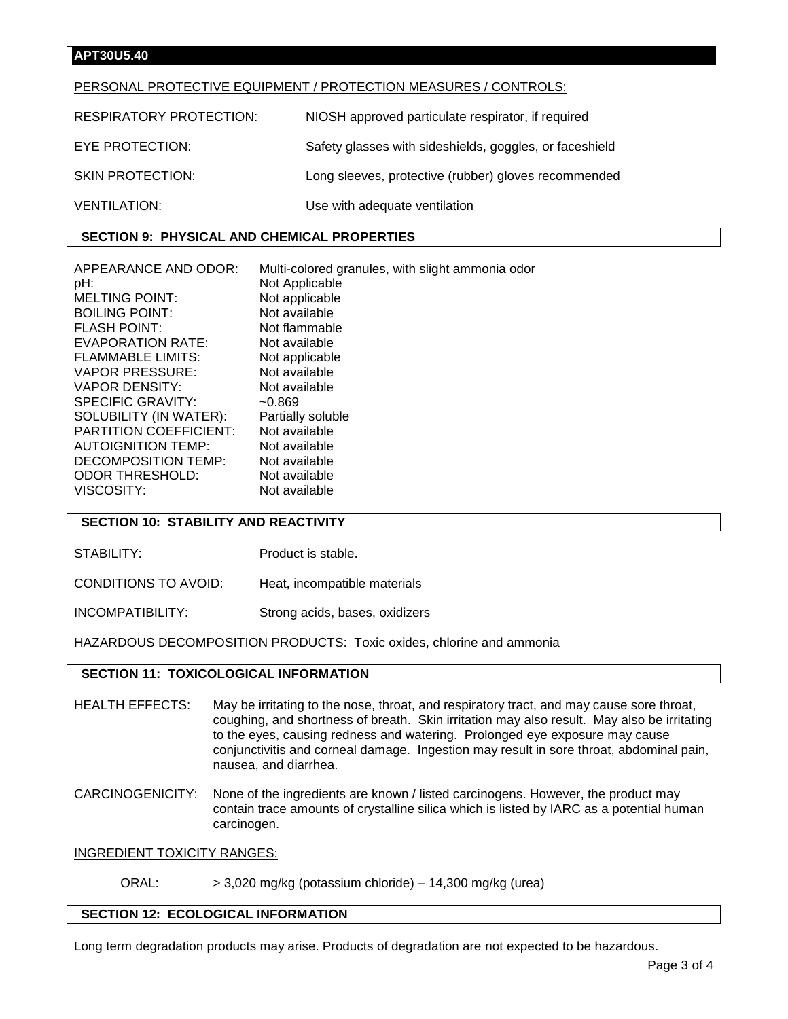## **APT30U5.40**

## PERSONAL PROTECTIVE EQUIPMENT / PROTECTION MEASURES / CONTROLS:

| <b>RESPIRATORY PROTECTION:</b> | NIOSH approved particulate respirator, if required      |
|--------------------------------|---------------------------------------------------------|
| EYE PROTECTION:                | Safety glasses with sideshields, goggles, or faceshield |
| <b>SKIN PROTECTION:</b>        | Long sleeves, protective (rubber) gloves recommended    |
| <b>VENTILATION:</b>            | Use with adequate ventilation                           |

# **SECTION 9: PHYSICAL AND CHEMICAL PROPERTIES**

| APPEARANCE AND ODOR:          | Multi-colored granules, with slight ammonia odor |
|-------------------------------|--------------------------------------------------|
| pH:                           | Not Applicable                                   |
| <b>MELTING POINT:</b>         | Not applicable                                   |
| <b>BOILING POINT:</b>         | Not available                                    |
| <b>FLASH POINT:</b>           | Not flammable                                    |
| EVAPORATION RATE:             | Not available                                    |
| <b>FLAMMABLE LIMITS:</b>      | Not applicable                                   |
| VAPOR PRESSURE:               | Not available                                    |
| <b>VAPOR DENSITY:</b>         | Not available                                    |
| <b>SPECIFIC GRAVITY:</b>      | $-0.869$                                         |
| SOLUBILITY (IN WATER):        | Partially soluble                                |
| <b>PARTITION COEFFICIENT:</b> | Not available                                    |
| <b>AUTOIGNITION TEMP:</b>     | Not available                                    |
| DECOMPOSITION TEMP:           | Not available                                    |
| <b>ODOR THRESHOLD:</b>        | Not available                                    |
| VISCOSITY:                    | Not available                                    |

### **SECTION 10: STABILITY AND REACTIVITY**

STABILITY: Product is stable.

CONDITIONS TO AVOID: Heat, incompatible materials

INCOMPATIBILITY: Strong acids, bases, oxidizers

HAZARDOUS DECOMPOSITION PRODUCTS: Toxic oxides, chlorine and ammonia

# **SECTION 11: TOXICOLOGICAL INFORMATION**

- HEALTH EFFECTS: May be irritating to the nose, throat, and respiratory tract, and may cause sore throat, coughing, and shortness of breath. Skin irritation may also result. May also be irritating to the eyes, causing redness and watering. Prolonged eye exposure may cause conjunctivitis and corneal damage. Ingestion may result in sore throat, abdominal pain, nausea, and diarrhea.
- CARCINOGENICITY: None of the ingredients are known / listed carcinogens. However, the product may contain trace amounts of crystalline silica which is listed by IARC as a potential human carcinogen.

## INGREDIENT TOXICITY RANGES:

ORAL: > 3,020 mg/kg (potassium chloride) – 14,300 mg/kg (urea)

# **SECTION 12: ECOLOGICAL INFORMATION**

Long term degradation products may arise. Products of degradation are not expected to be hazardous.